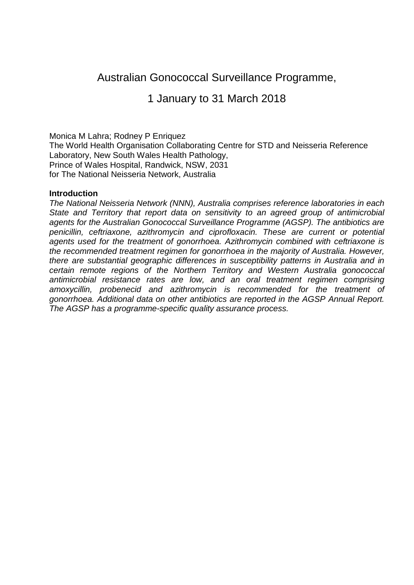# Australian Gonococcal Surveillance Programme,

1 January to 31 March 2018

Monica M Lahra; Rodney P Enriquez

The World Health Organisation Collaborating Centre for STD and Neisseria Reference Laboratory, New South Wales Health Pathology, Prince of Wales Hospital, Randwick, NSW, 2031 for The National Neisseria Network, Australia

#### **Introduction**

*The National Neisseria Network (NNN), Australia comprises reference laboratories in each State and Territory that report data on sensitivity to an agreed group of antimicrobial agents for the Australian Gonococcal Surveillance Programme (AGSP). The antibiotics are penicillin, ceftriaxone, azithromycin and ciprofloxacin. These are current or potential agents used for the treatment of gonorrhoea. Azithromycin combined with ceftriaxone is the recommended treatment regimen for gonorrhoea in the majority of Australia. However, there are substantial geographic differences in susceptibility patterns in Australia and in certain remote regions of the Northern Territory and Western Australia gonococcal antimicrobial resistance rates are low, and an oral treatment regimen comprising amoxycillin, probenecid and azithromycin is recommended for the treatment of gonorrhoea. Additional data on other antibiotics are reported in the AGSP Annual Report. The AGSP has a programme-specific quality assurance process.*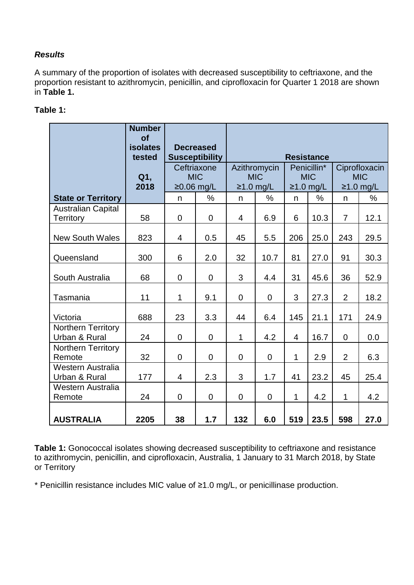# *Results*

A summary of the proportion of isolates with decreased susceptibility to ceftriaxone, and the proportion resistant to azithromycin, penicillin, and ciprofloxacin for Quarter 1 2018 are shown in **Table 1.**

## **Table 1:**

|                                               | <b>Number</b><br><b>of</b><br><b>isolates</b><br>tested | <b>Decreased</b><br><b>Susceptibility</b> |                | <b>Resistance</b>                         |                |                                          |      |                                            |      |  |
|-----------------------------------------------|---------------------------------------------------------|-------------------------------------------|----------------|-------------------------------------------|----------------|------------------------------------------|------|--------------------------------------------|------|--|
|                                               | Q1,<br>2018                                             | Ceftriaxone<br><b>MIC</b><br>$≥0.06$ mg/L |                | Azithromycin<br><b>MIC</b><br>$≥1.0$ mg/L |                | Penicillin*<br><b>MIC</b><br>$≥1.0$ mg/L |      | Ciprofloxacin<br><b>MIC</b><br>$≥1.0$ mg/L |      |  |
| <b>State or Territory</b>                     |                                                         | n                                         | %              | n                                         | %              | n                                        | %    | n                                          | %    |  |
| <b>Australian Capital</b><br><b>Territory</b> | 58                                                      | $\mathbf 0$                               | $\mathbf 0$    | 4                                         | 6.9            | 6                                        | 10.3 | $\overline{7}$                             | 12.1 |  |
| <b>New South Wales</b>                        | 823                                                     | $\overline{4}$                            | 0.5            | 45                                        | 5.5            | 206                                      | 25.0 | 243                                        | 29.5 |  |
| Queensland                                    | 300                                                     | 6                                         | 2.0            | 32                                        | 10.7           | 81                                       | 27.0 | 91                                         | 30.3 |  |
| South Australia                               | 68                                                      | $\overline{0}$                            | $\mathbf 0$    | 3                                         | 4.4            | 31                                       | 45.6 | 36                                         | 52.9 |  |
| Tasmania                                      | 11                                                      | 1                                         | 9.1            | $\mathbf 0$                               | $\mathbf 0$    | 3                                        | 27.3 | $\overline{2}$                             | 18.2 |  |
| Victoria                                      | 688                                                     | 23                                        | 3.3            | 44                                        | 6.4            | 145                                      | 21.1 | 171                                        | 24.9 |  |
| Northern Territory<br>Urban & Rural           | 24                                                      | $\Omega$                                  | $\overline{0}$ | $\mathbf{1}$                              | 4.2            | $\overline{4}$                           | 16.7 | $\overline{0}$                             | 0.0  |  |
| Northern Territory<br>Remote                  | 32                                                      | $\overline{0}$                            | $\mathbf 0$    | $\overline{0}$                            | $\overline{0}$ | 1                                        | 2.9  | $\overline{2}$                             | 6.3  |  |
| Western Australia<br>Urban & Rural            | 177                                                     | $\overline{4}$                            | 2.3            | 3                                         | 1.7            | 41                                       | 23.2 | 45                                         | 25.4 |  |
| Western Australia<br>Remote                   | 24                                                      | $\overline{0}$                            | $\overline{0}$ | $\mathbf 0$                               | $\mathbf 0$    | 1                                        | 4.2  | $\mathbf{1}$                               | 4.2  |  |
| <b>AUSTRALIA</b>                              | 2205                                                    | 38                                        | 1.7            | 132                                       | 6.0            | 519                                      | 23.5 | 598                                        | 27.0 |  |

**Table 1:** Gonococcal isolates showing decreased susceptibility to ceftriaxone and resistance to azithromycin, penicillin, and ciprofloxacin, Australia, 1 January to 31 March 2018, by State or Territory

\* Penicillin resistance includes MIC value of ≥1.0 mg/L, or penicillinase production.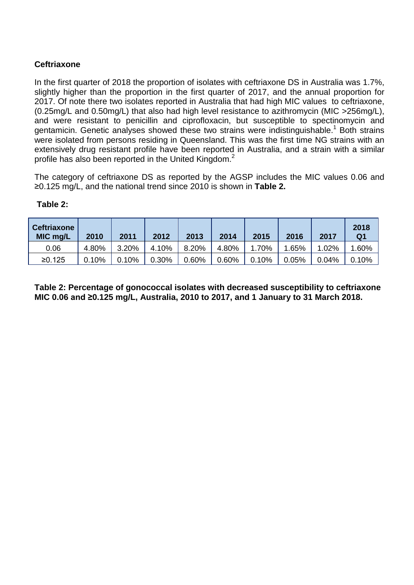## **Ceftriaxone**

In the first quarter of 2018 the proportion of isolates with ceftriaxone DS in Australia was 1.7%, slightly higher than the proportion in the first quarter of 2017, and the annual proportion for 2017. Of note there two isolates reported in Australia that had high MIC values to ceftriaxone, (0.25mg/L and 0.50mg/L) that also had high level resistance to azithromycin (MIC >256mg/L), and were resistant to penicillin and ciprofloxacin, but susceptible to spectinomycin and gentamicin. Genetic analyses showed these two strains were indistinguishable.<sup>1</sup> Both strains were isolated from persons residing in Queensland. This was the first time NG strains with an extensively drug resistant profile have been reported in Australia, and a strain with a similar profile has also been reported in the United Kingdom.<sup>2</sup>

The category of ceftriaxone DS as reported by the AGSP includes the MIC values 0.06 and ≥0.125 mg/L, and the national trend since 2010 is shown in **Table 2.**

| <b>Ceftriaxone</b><br>MIC mg/L | 2010  | 2011  | 2012  | 2013  | 2014  | 2015  | 2016  | 2017  | 2018<br>Q1 |
|--------------------------------|-------|-------|-------|-------|-------|-------|-------|-------|------------|
| 0.06                           | 4.80% | 3.20% | 4.10% | 8.20% | 4.80% | 1.70% | 1.65% | 1.02% | 1.60%      |
| ≥0.125                         | 0.10% | 0.10% | 0.30% | 0.60% | 0.60% | 0.10% | 0.05% | 0.04% | 0.10%      |

#### **Table 2:**

**Table 2: Percentage of gonococcal isolates with decreased susceptibility to ceftriaxone MIC 0.06 and ≥0.125 mg/L, Australia, 2010 to 2017, and 1 January to 31 March 2018.**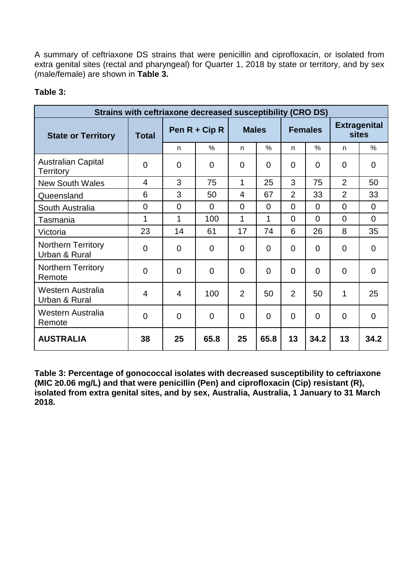A summary of ceftriaxone DS strains that were penicillin and ciprofloxacin, or isolated from extra genital sites (rectal and pharyngeal) for Quarter 1, 2018 by state or territory, and by sex (male/female) are shown in **Table 3.**

## **Table 3:**

| Strains with ceftriaxone decreased susceptibility (CRO DS) |                |                 |                |                |                |                |                |                                     |                |
|------------------------------------------------------------|----------------|-----------------|----------------|----------------|----------------|----------------|----------------|-------------------------------------|----------------|
| <b>State or Territory</b>                                  | <b>Total</b>   | Pen $R$ + Cip R |                | <b>Males</b>   |                | <b>Females</b> |                | <b>Extragenital</b><br><b>sites</b> |                |
|                                                            |                | n.              | $\frac{0}{0}$  | n              | $\frac{0}{0}$  | n              | $\%$           | n                                   | %              |
| <b>Australian Capital</b><br>Territory                     | $\overline{0}$ | $\overline{0}$  | $\Omega$       | $\Omega$       | $\Omega$       | 0              | $\Omega$       | $\overline{0}$                      | $\Omega$       |
| <b>New South Wales</b>                                     | $\overline{4}$ | 3               | 75             | $\mathbf{1}$   | 25             | 3              | 75             | $\overline{2}$                      | 50             |
| Queensland                                                 | 6              | 3               | 50             | 4              | 67             | 2              | 33             | $\overline{2}$                      | 33             |
| South Australia                                            | $\overline{0}$ | $\overline{0}$  | $\Omega$       | $\overline{0}$ | $\Omega$       | $\overline{0}$ | $\overline{0}$ | $\overline{0}$                      | $\Omega$       |
| Tasmania                                                   | 1              | 1               | 100            | 1              | 1              | $\overline{0}$ | $\overline{0}$ | $\overline{0}$                      | $\Omega$       |
| Victoria                                                   | 23             | 14              | 61             | 17             | 74             | 6              | 26             | 8                                   | 35             |
| <b>Northern Territory</b><br>Urban & Rural                 | $\mathbf 0$    | $\mathbf 0$     | $\mathbf 0$    | $\overline{0}$ | $\overline{0}$ | $\overline{0}$ | $\overline{0}$ | $\overline{0}$                      | $\mathbf 0$    |
| <b>Northern Territory</b><br>Remote                        | $\overline{0}$ | $\overline{0}$  | $\overline{0}$ | $\overline{0}$ | $\overline{0}$ | $\mathbf 0$    | $\overline{0}$ | $\overline{0}$                      | $\overline{0}$ |
| Western Australia<br>Urban & Rural                         | $\overline{4}$ | $\overline{4}$  | 100            | $\overline{2}$ | 50             | 2              | 50             | 1                                   | 25             |
| Western Australia<br>Remote                                | $\overline{0}$ | $\overline{0}$  | $\overline{0}$ | $\overline{0}$ | $\Omega$       | $\Omega$       | $\Omega$       | $\overline{0}$                      | $\Omega$       |
| <b>AUSTRALIA</b>                                           | 38             | 25              | 65.8           | 25             | 65.8           | 13             | 34.2           | 13                                  | 34.2           |

**Table 3: Percentage of gonococcal isolates with decreased susceptibility to ceftriaxone (MIC ≥0.06 mg/L) and that were penicillin (Pen) and ciprofloxacin (Cip) resistant (R), isolated from extra genital sites, and by sex, Australia, Australia, 1 January to 31 March 2018.**